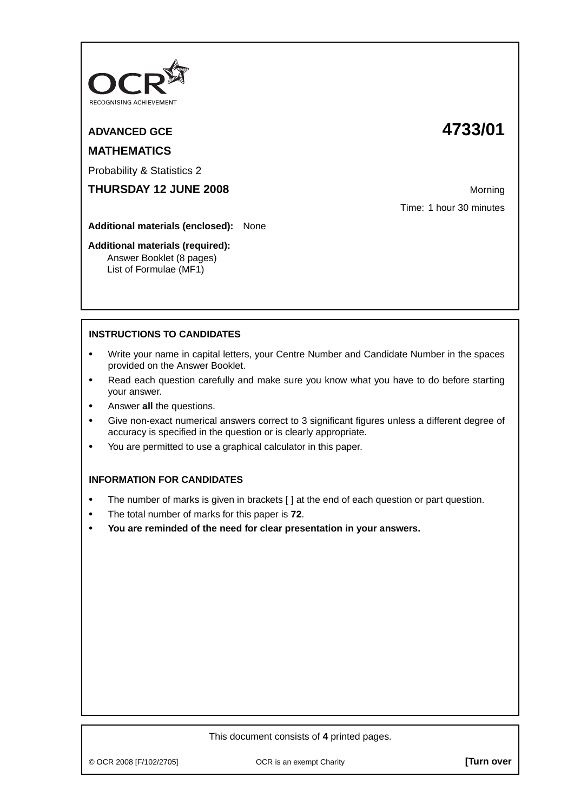

# **MATHEMATICS**

Probability & Statistics 2

**THURSDAY 12 JUNE 2008** Morning

**Additional materials (enclosed):** None

#### **Additional materials (required):**

Answer Booklet (8 pages) List of Formulae (MF1)

## **ADVANCED GCE 4733/01**

Time: 1 hour 30 minutes

### **INSTRUCTIONS TO CANDIDATES**

- **•** Write your name in capital letters, your Centre Number and Candidate Number in the spaces provided on the Answer Booklet.
- **•** Read each question carefully and make sure you know what you have to do before starting your answer.
- **•** Answer **all** the questions.
- **•** Give non-exact numerical answers correct to 3 significant figures unless a different degree of accuracy is specified in the question or is clearly appropriate.
- **•** You are permitted to use a graphical calculator in this paper.

#### **INFORMATION FOR CANDIDATES**

- **•** The number of marks is given in brackets [ ] at the end of each question or part question.
- **•** The total number of marks for this paper is **72**.
- **• You are reminded of the need for clear presentation in your answers.**

#### This document consists of **4** printed pages.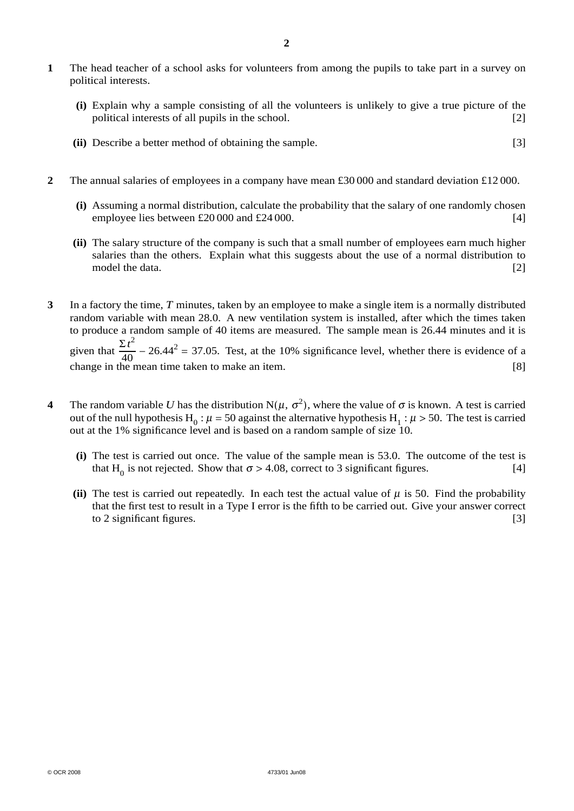- **1** The head teacher of a school asks for volunteers from among the pupils to take part in a survey on political interests.
	- **(i)** Explain why a sample consisting of all the volunteers is unlikely to give a true picture of the political interests of all pupils in the school. [2]
	- **(ii)** Describe a better method of obtaining the sample. [3]
- **2** The annual salaries of employees in a company have mean £30 000 and standard deviation £12 000.
	- **(i)** Assuming a normal distribution, calculate the probability that the salary of one randomly chosen employee lies between  $\text{\pounds}20\,000$  and  $\text{\pounds}24\,000$ . [4]
	- **(ii)** The salary structure of the company is such that a small number of employees earn much higher salaries than the others. Explain what this suggests about the use of a normal distribution to model the data. [2]
- **3** In a factory the time, *T* minutes, taken by an employee to make a single item is a normally distributed random variable with mean 28.0. A new ventilation system is installed, after which the times taken to produce a random sample of 40 items are measured. The sample mean is 26.44 minutes and it is given that  $\frac{\Sigma t^2}{40}$  – 26.44<sup>2</sup> = 37.05. Test, at the 10% significance level, whether there is evidence of a change in the mean time taken to make an item. [8]
- **4** The random variable *U* has the distribution  $N(\mu, \sigma^2)$ , where the value of  $\sigma$  is known. A test is carried out of the null hypothesis H<sub>0</sub> :  $\mu$  = 50 against the alternative hypothesis H<sub>1</sub> :  $\mu$  > 50. The test is carried out at the 1% significance level and is based on a random sample of size 10.
	- **(i)** The test is carried out once. The value of the sample mean is 53.0. The outcome of the test is that H<sub>0</sub> is not rejected. Show that  $\sigma > 4.08$ , correct to 3 significant figures. [4]
	- **(ii)** The test is carried out repeatedly. In each test the actual value of  $\mu$  is 50. Find the probability that the first test to result in a Type I error is the fifth to be carried out. Give your answer correct to 2 significant figures.  $[3]$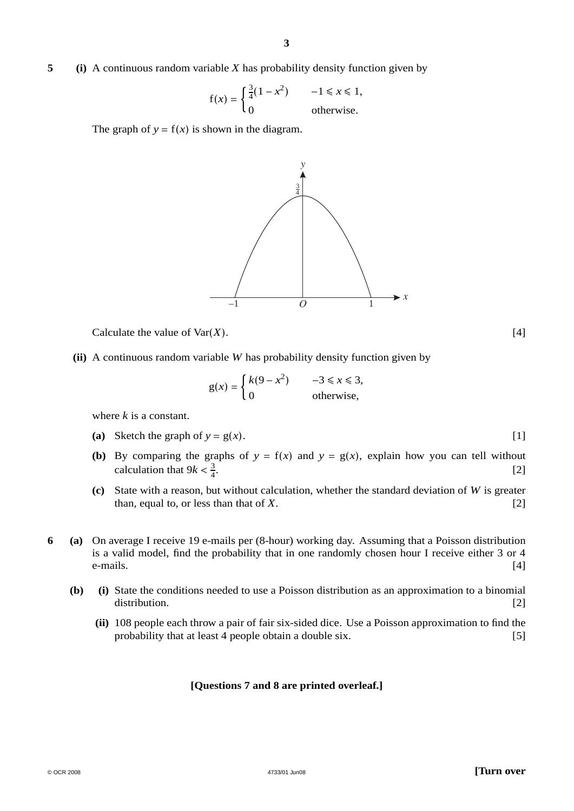#### **5 (i)** A continuous random variable *X* has probability density function given by

$$
f(x) = \begin{cases} \frac{3}{4}(1 - x^2) & -1 \le x \le 1, \\ 0 & \text{otherwise.} \end{cases}
$$

The graph of  $y = f(x)$  is shown in the diagram.



Calculate the value of  $\text{Var}(X)$ . [4]

**(ii)** A continuous random variable *W* has probability density function given by

$$
g(x) = \begin{cases} k(9 - x^2) & -3 \le x \le 3, \\ 0 & \text{otherwise,} \end{cases}
$$

where *k* is a constant.

- (a) Sketch the graph of  $y = g(x)$ . [1]
- **(b)** By comparing the graphs of  $y = f(x)$  and  $y = g(x)$ , explain how you can tell without calculation that  $9k < \frac{3}{4}$ .  $[2]$
- **(c)** State with a reason, but without calculation, whether the standard deviation of *W* is greater than, equal to, or less than that of *X*. [2]
- **6 (a)** On average I receive 19 e-mails per (8-hour) working day. Assuming that a Poisson distribution is a valid model, find the probability that in one randomly chosen hour I receive either 3 or 4  $e$ -mails.  $[4]$ 
	- **(b) (i)** State the conditions needed to use a Poisson distribution as an approximation to a binomial distribution. [2]
		- **(ii)** 108 people each throw a pair of fair six-sided dice. Use a Poisson approximation to find the probability that at least 4 people obtain a double six. [5]

#### **[Questions 7 and 8 are printed overleaf.]**